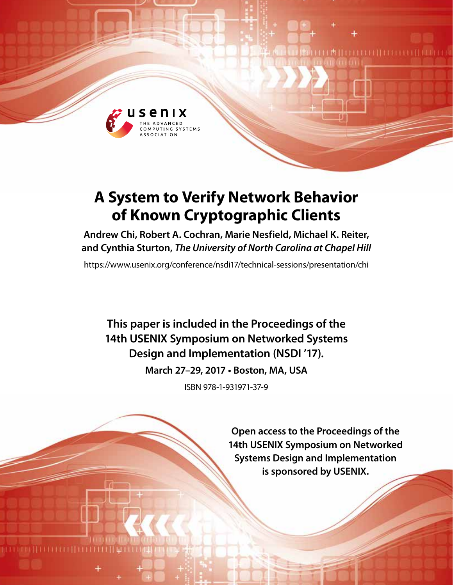

# **A System to Verify Network Behavior of Known Cryptographic Clients**

**Andrew Chi, Robert A. Cochran, Marie Nesfield, Michael K. Reiter, and Cynthia Sturton,** *The University of North Carolina at Chapel Hill*

https://www.usenix.org/conference/nsdi17/technical-sessions/presentation/chi

**This paper is included in the Proceedings of the 14th USENIX Symposium on Networked Systems Design and Implementation (NSDI '17).**

**March 27–29, 2017 • Boston, MA, USA**

ISBN 978-1-931971-37-9

**Open access to the Proceedings of the 14th USENIX Symposium on Networked Systems Design and Implementation is sponsored by USENIX.**

**THEFFILITERES**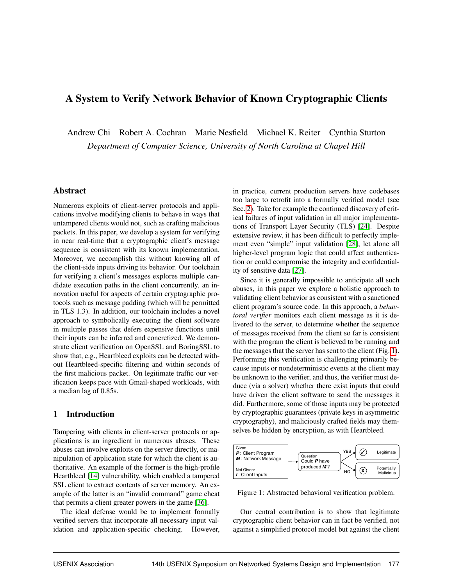# A System to Verify Network Behavior of Known Cryptographic Clients

Andrew Chi Robert A. Cochran Marie Nesfield Michael K. Reiter Cynthia Sturton *Department of Computer Science, University of North Carolina at Chapel Hill*

#### Abstract

Numerous exploits of client-server protocols and applications involve modifying clients to behave in ways that untampered clients would not, such as crafting malicious packets. In this paper, we develop a system for verifying in near real-time that a cryptographic client's message sequence is consistent with its known implementation. Moreover, we accomplish this without knowing all of the client-side inputs driving its behavior. Our toolchain for verifying a client's messages explores multiple candidate execution paths in the client concurrently, an innovation useful for aspects of certain cryptographic protocols such as message padding (which will be permitted in TLS 1.3). In addition, our toolchain includes a novel approach to symbolically executing the client software in multiple passes that defers expensive functions until their inputs can be inferred and concretized. We demonstrate client verification on OpenSSL and BoringSSL to show that, e.g., Heartbleed exploits can be detected without Heartbleed-specific filtering and within seconds of the first malicious packet. On legitimate traffic our verification keeps pace with Gmail-shaped workloads, with a median lag of 0.85s.

## 1 Introduction

Tampering with clients in client-server protocols or applications is an ingredient in numerous abuses. These abuses can involve exploits on the server directly, or manipulation of application state for which the client is authoritative. An example of the former is the high-profile Heartbleed [14] vulnerability, which enabled a tampered SSL client to extract contents of server memory. An example of the latter is an "invalid command" game cheat that permits a client greater powers in the game [36].

The ideal defense would be to implement formally verified servers that incorporate all necessary input validation and application-specific checking. However, in practice, current production servers have codebases too large to retrofit into a formally verified model (see Sec. 2). Take for example the continued discovery of critical failures of input validation in all major implementations of Transport Layer Security (TLS) [24]. Despite extensive review, it has been difficult to perfectly implement even "simple" input validation [28], let alone all higher-level program logic that could affect authentication or could compromise the integrity and confidentiality of sensitive data [27].

Since it is generally impossible to anticipate all such abuses, in this paper we explore a holistic approach to validating client behavior as consistent with a sanctioned client program's source code. In this approach, a *behavioral verifier* monitors each client message as it is delivered to the server, to determine whether the sequence of messages received from the client so far is consistent with the program the client is believed to be running and the messages that the server has sent to the client (Fig. 1). Performing this verification is challenging primarily because inputs or nondeterministic events at the client may be unknown to the verifier, and thus, the verifier must deduce (via a solver) whether there exist inputs that could have driven the client software to send the messages it did. Furthermore, some of those inputs may be protected by cryptographic guarantees (private keys in asymmetric cryptography), and maliciously crafted fields may themselves be hidden by encryption, as with Heartbleed.



Figure 1: Abstracted behavioral verification problem.

Our central contribution is to show that legitimate cryptographic client behavior can in fact be verified, not against a simplified protocol model but against the client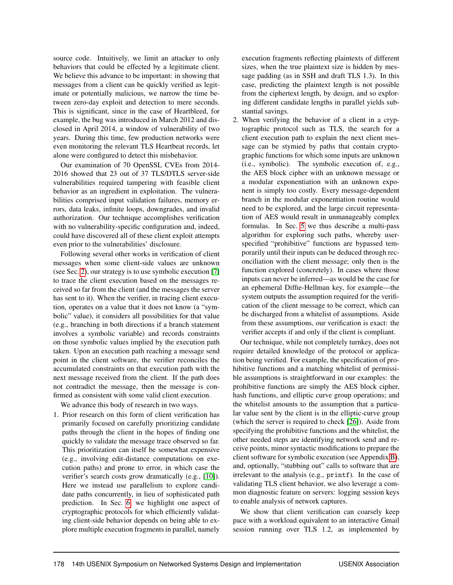source code. Intuitively, we limit an attacker to only behaviors that could be effected by a legitimate client. We believe this advance to be important: in showing that messages from a client can be quickly verified as legitimate or potentially malicious, we narrow the time between zero-day exploit and detection to mere seconds. This is significant, since in the case of Heartbleed, for example, the bug was introduced in March 2012 and disclosed in April 2014, a window of vulnerability of two years. During this time, few production networks were even monitoring the relevant TLS Heartbeat records, let alone were configured to detect this misbehavior.

Our examination of 70 OpenSSL CVEs from 2014- 2016 showed that 23 out of 37 TLS/DTLS server-side vulnerabilities required tampering with feasible client behavior as an ingredient in exploitation. The vulnerabilities comprised input validation failures, memory errors, data leaks, infinite loops, downgrades, and invalid authorization. Our technique accomplishes verification with no vulnerability-specific configuration and, indeed, could have discovered all of these client exploit attempts even prior to the vulnerabilities' disclosure.

Following several other works in verification of client messages when some client-side values are unknown (see Sec. 2), our strategy is to use symbolic execution [7] to trace the client execution based on the messages received so far from the client (and the messages the server has sent to it). When the verifier, in tracing client execution, operates on a value that it does not know (a "symbolic" value), it considers all possibilities for that value (e.g., branching in both directions if a branch statement involves a symbolic variable) and records constraints on those symbolic values implied by the execution path taken. Upon an execution path reaching a message send point in the client software, the verifier reconciles the accumulated constraints on that execution path with the next message received from the client. If the path does not contradict the message, then the message is confirmed as consistent with some valid client execution.

We advance this body of research in two ways.

1. Prior research on this form of client verification has primarily focused on carefully prioritizing candidate paths through the client in the hopes of finding one quickly to validate the message trace observed so far. This prioritization can itself be somewhat expensive (e.g., involving edit-distance computations on execution paths) and prone to error, in which case the verifier's search costs grow dramatically (e.g., [10]). Here we instead use parallelism to explore candidate paths concurrently, in lieu of sophisticated path prediction. In Sec. 6, we highlight one aspect of cryptographic protocols for which efficiently validating client-side behavior depends on being able to explore multiple execution fragments in parallel, namely execution fragments reflecting plaintexts of different sizes, when the true plaintext size is hidden by message padding (as in SSH and draft TLS 1.3). In this case, predicting the plaintext length is not possible from the ciphertext length, by design, and so exploring different candidate lengths in parallel yields substantial savings.

2. When verifying the behavior of a client in a cryptographic protocol such as TLS, the search for a client execution path to explain the next client message can be stymied by paths that contain cryptographic functions for which some inputs are unknown (i.e., symbolic). The symbolic execution of, e.g., the AES block cipher with an unknown message or a modular exponentiation with an unknown exponent is simply too costly. Every message-dependent branch in the modular exponentiation routine would need to be explored, and the large circuit representation of AES would result in unmanageably complex formulas. In Sec. 5 we thus describe a multi-pass algorithm for exploring such paths, whereby userspecified "prohibitive" functions are bypassed temporarily until their inputs can be deduced through reconciliation with the client message; only then is the function explored (concretely). In cases where those inputs can never be inferred—as would be the case for an ephemeral Diffie-Hellman key, for example—the system outputs the assumption required for the verification of the client message to be correct, which can be discharged from a whitelist of assumptions. Aside from these assumptions, our verification is exact: the verifier accepts if and only if the client is compliant.

Our technique, while not completely turnkey, does not require detailed knowledge of the protocol or application being verified. For example, the specification of prohibitive functions and a matching whitelist of permissible assumptions is straightforward in our examples: the prohibitive functions are simply the AES block cipher, hash functions, and elliptic curve group operations; and the whitelist amounts to the assumption that a particular value sent by the client is in the elliptic-curve group (which the server is required to check [26]). Aside from specifying the prohibitive functions and the whitelist, the other needed steps are identifying network send and receive points, minor syntactic modifications to prepare the client software for symbolic execution (see Appendix B), and, optionally, "stubbing out" calls to software that are irrelevant to the analysis (e.g., printf). In the case of validating TLS client behavior, we also leverage a common diagnostic feature on servers: logging session keys to enable analysis of network captures.

We show that client verification can coarsely keep pace with a workload equivalent to an interactive Gmail session running over TLS 1.2, as implemented by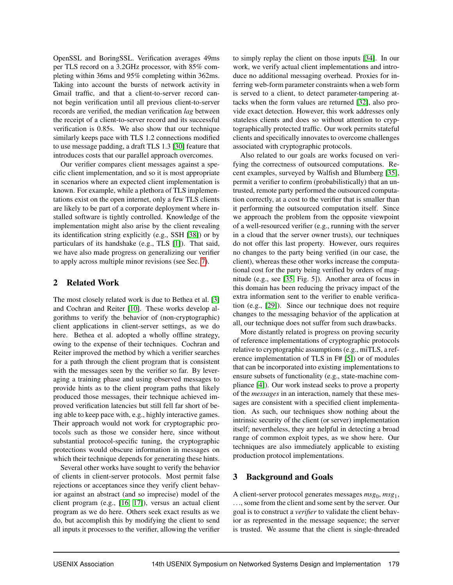OpenSSL and BoringSSL. Verification averages 49ms per TLS record on a 3.2GHz processor, with 85% completing within 36ms and 95% completing within 362ms. Taking into account the bursts of network activity in Gmail traffic, and that a client-to-server record cannot begin verification until all previous client-to-server records are verified, the median verification *lag* between the receipt of a client-to-server record and its successful verification is 0.85s. We also show that our technique similarly keeps pace with TLS 1.2 connections modified to use message padding, a draft TLS 1.3 [30] feature that introduces costs that our parallel approach overcomes.

Our verifier compares client messages against a specific client implementation, and so it is most appropriate in scenarios where an expected client implementation is known. For example, while a plethora of TLS implementations exist on the open internet, only a few TLS clients are likely to be part of a corporate deployment where installed software is tightly controlled. Knowledge of the implementation might also arise by the client revealing its identification string explicitly (e.g., SSH [38]) or by particulars of its handshake (e.g., TLS [1]). That said, we have also made progress on generalizing our verifier to apply across multiple minor revisions (see Sec. 7).

#### 2 Related Work

The most closely related work is due to Bethea et al. [3] and Cochran and Reiter [10]. These works develop algorithms to verify the behavior of (non-cryptographic) client applications in client-server settings, as we do here. Bethea et al. adopted a wholly offline strategy, owing to the expense of their techniques. Cochran and Reiter improved the method by which a verifier searches for a path through the client program that is consistent with the messages seen by the verifier so far. By leveraging a training phase and using observed messages to provide hints as to the client program paths that likely produced those messages, their technique achieved improved verification latencies but still fell far short of being able to keep pace with, e.g., highly interactive games. Their approach would not work for cryptographic protocols such as those we consider here, since without substantial protocol-specific tuning, the cryptographic protections would obscure information in messages on which their technique depends for generating these hints.

Several other works have sought to verify the behavior of clients in client-server protocols. Most permit false rejections or acceptances since they verify client behavior against an abstract (and so imprecise) model of the client program (e.g., [16, 17]), versus an actual client program as we do here. Others seek exact results as we do, but accomplish this by modifying the client to send all inputs it processes to the verifier, allowing the verifier to simply replay the client on those inputs [34]. In our work, we verify actual client implementations and introduce no additional messaging overhead. Proxies for inferring web-form parameter constraints when a web form is served to a client, to detect parameter-tampering attacks when the form values are returned [32], also provide exact detection. However, this work addresses only stateless clients and does so without attention to cryptographically protected traffic. Our work permits stateful clients and specifically innovates to overcome challenges associated with cryptographic protocols.

Also related to our goals are works focused on verifying the correctness of outsourced computations. Recent examples, surveyed by Walfish and Blumberg [35], permit a verifier to confirm (probabilistically) that an untrusted, remote party performed the outsourced computation correctly, at a cost to the verifier that is smaller than it performing the outsourced computation itself. Since we approach the problem from the opposite viewpoint of a well-resourced verifier (e.g., running with the server in a cloud that the server owner trusts), our techniques do not offer this last property. However, ours requires no changes to the party being verified (in our case, the client), whereas these other works increase the computational cost for the party being verified by orders of magnitude (e.g., see [35, Fig. 5]). Another area of focus in this domain has been reducing the privacy impact of the extra information sent to the verifier to enable verification (e.g., [29]). Since our technique does not require changes to the messaging behavior of the application at all, our technique does not suffer from such drawbacks.

More distantly related is progress on proving security of reference implementations of cryptographic protocols relative to cryptographic assumptions (e.g., miTLS, a reference implementation of TLS in F# [5]) or of modules that can be incorporated into existing implementations to ensure subsets of functionality (e.g., state-machine compliance [4]). Our work instead seeks to prove a property of the *messages* in an interaction, namely that these messages are consistent with a specified client implementation. As such, our techniques show nothing about the intrinsic security of the client (or server) implementation itself; nevertheless, they are helpful in detecting a broad range of common exploit types, as we show here. Our techniques are also immediately applicable to existing production protocol implementations.

#### 3 Background and Goals

A client-server protocol generates messages  $msg_0, msg_1,$ ..., some from the client and some sent by the server. Our goal is to construct a *verifier* to validate the client behavior as represented in the message sequence; the server is trusted. We assume that the client is single-threaded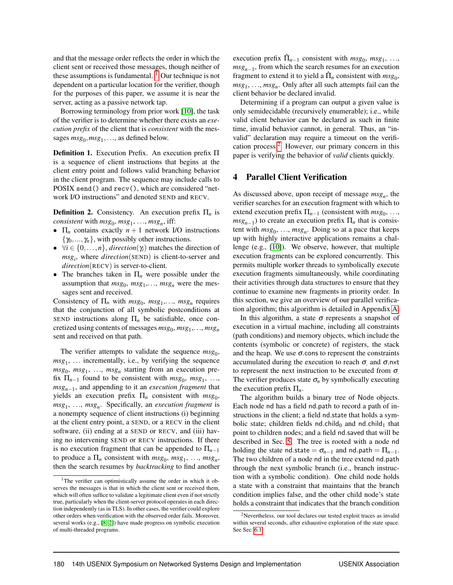and that the message order reflects the order in which the client sent or received those messages, though neither of these assumptions is fundamental.  $\frac{1}{1}$  Our technique is not dependent on a particular location for the verifier, though for the purposes of this paper, we assume it is near the server, acting as a passive network tap.

Borrowing terminology from prior work [10], the task of the verifier is to determine whether there exists an *execution prefix* of the client that is *consistent* with the messages  $msg_0, msg_1, \ldots$ , as defined below.

Definition 1. Execution Prefix. An execution prefix Π is a sequence of client instructions that begins at the client entry point and follows valid branching behavior in the client program. The sequence may include calls to POSIX send() and recv(), which are considered "network I/O instructions" and denoted SEND and RECV.

**Definition 2.** Consistency. An execution prefix  $\Pi_n$  is  $consistent$  with  $msg_0$ ,  $msg_1$ , ...,  $msg_n$ , iff:

- $\Pi_n$  contains exactly  $n+1$  network I/O instructions  $\{\gamma_0, ..., \gamma_n\}$ , with possibly other instructions.
- $\forall i \in \{0, \ldots, n\}$ , *direction*( $\gamma_i$ ) matches the direction of *msg<sup>i</sup>* , where *direction*(SEND) is client-to-server and *direction*(RECV) is server-to-client.
- The branches taken in Π*<sup>n</sup>* were possible under the assumption that  $msg_0$ ,  $msg_1$ ,...,  $msg_n$  were the messages sent and received.

Consistency of  $\Pi_n$  with  $msg_0$ ,  $msg_1, \ldots, msg_n$  requires that the conjunction of all symbolic postconditions at SEND instructions along  $\Pi_n$  be satisfiable, once concretized using contents of messages  $msg_0, msg_1, \ldots, msg_n$ sent and received on that path.

The verifier attempts to validate the sequence  $msg_0$ , *msg*<sup>1</sup> , ... incrementally, i.e., by verifying the sequence  $msg_0$ ,  $msg_1$ , ...,  $msg_n$  starting from an execution prefix  $\Pi_{n-1}$  found to be consistent with  $msg_0$ ,  $msg_1$ , ..., *msgn*−<sup>1</sup> , and appending to it an *execution fragment* that yields an execution prefix  $\Pi_n$  consistent with  $msg_0$ , *msg*<sup>1</sup> , ..., *msg<sup>n</sup>* . Specifically, an *execution fragment* is a nonempty sequence of client instructions (i) beginning at the client entry point, a SEND, or a RECV in the client software, (ii) ending at a SEND or RECV, and (iii) having no intervening SEND or RECV instructions. If there is no execution fragment that can be appended to  $\Pi_{n-1}$ to produce a  $\Pi_n$  consistent with  $msg_0$ ,  $msg_1$ , ...,  $msg_n$ , then the search resumes by *backtracking* to find another

execution prefix  $\hat{\Pi}_{n-1}$  consistent with  $msg_0$ ,  $msg_1$ , ..., *msg*<sub>*n*−1</sub>, from which the search resumes for an execution fragment to extend it to yield a  $\hat{\Pi}_n$  consistent with  $msg_0$ , *msg*<sup>1</sup> , ..., *msg<sup>n</sup>* . Only after all such attempts fail can the client behavior be declared invalid.

Determining if a program can output a given value is only semidecidable (recursively enumerable); i.e., while valid client behavior can be declared as such in finite time, invalid behavior cannot, in general. Thus, an "invalid" declaration may require a timeout on the verification process.2 However, our primary concern in this paper is verifying the behavior of *valid* clients quickly.

#### 4 Parallel Client Verification

As discussed above, upon receipt of message *msg<sup>n</sup>* , the verifier searches for an execution fragment with which to extend execution prefix  $\Pi_{n-1}$  (consistent with  $msg_0, \ldots,$  $msg_{n-1}$ ) to create an execution prefix  $\Pi_n$  that is consistent with  $msg_0, \ldots, msg_n$ . Doing so at a pace that keeps up with highly interactive applications remains a challenge (e.g., [10]). We observe, however, that multiple execution fragments can be explored concurrently. This permits multiple worker threads to symbolically execute execution fragments simultaneously, while coordinating their activities through data structures to ensure that they continue to examine new fragments in priority order. In this section, we give an overview of our parallel verification algorithm; this algorithm is detailed in Appendix A.

In this algorithm, a state  $\sigma$  represents a snapshot of execution in a virtual machine, including all constraints (path conditions) and memory objects, which include the contents (symbolic or concrete) of registers, the stack and the heap. We use  $\sigma$  cons to represent the constraints accumulated during the execution to reach  $\sigma$ , and  $\sigma$ .nxt to represent the next instruction to be executed from  $\sigma$ . The verifier produces state  $\sigma_n$  by symbolically executing the execution prefix Π*n*.

The algorithm builds a binary tree of Node objects. Each node nd has a field nd.path to record a path of instructions in the client; a field nd.state that holds a symbolic state; children fields nd.child<sub>0</sub> and nd.child<sub>1</sub> that point to children nodes; and a field nd.saved that will be described in Sec. 5. The tree is rooted with a node nd holding the state nd.state =  $\sigma_{n-1}$  and nd.path =  $\Pi_{n-1}$ . The two children of a node nd in the tree extend nd.path through the next symbolic branch (i.e., branch instruction with a symbolic condition). One child node holds a state with a constraint that maintains that the branch condition implies false, and the other child node's state holds a constraint that indicates that the branch condition

<sup>&</sup>lt;sup>1</sup>The verifier can optimistically assume the order in which it observes the messages is that in which the client sent or received them, which will often suffice to validate a legitimate client even if not strictly true, particularly when the client-server protocol operates in each direction independently (as in TLS). In other cases, the verifier could explore other orders when verification with the observed order fails. Moreover, several works (e.g., [8, 2]) have made progress on symbolic execution of multi-threaded programs.

<sup>2</sup>Nevertheless, our tool declares our tested exploit traces as invalid within several seconds, after exhaustive exploration of the state space. See Sec. 6.1.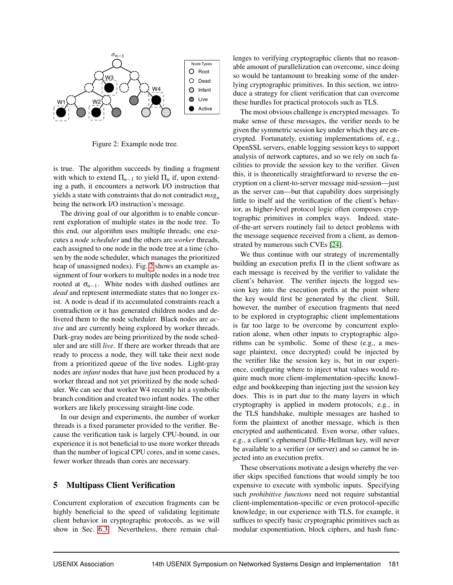

Figure 2: Example node tree.

is true. The algorithm succeeds by finding a fragment with which to extend  $\Pi_{n-1}$  to yield  $\Pi_n$  if, upon extending a path, it encounters a network I/O instruction that yields a state with constraints that do not contradict *msg<sup>n</sup>* being the network I/O instruction's message.

The driving goal of our algorithm is to enable concurrent exploration of multiple states in the node tree. To this end, our algorithm uses multiple threads; one executes a *node scheduler* and the others are *worker* threads, each assigned to one node in the node tree at a time (chosen by the node scheduler, which manages the prioritized heap of unassigned nodes). Fig. 2 shows an example assignment of four workers to multiple nodes in a node tree rooted at  $\sigma_{n-1}$ . White nodes with dashed outlines are *dead* and represent intermediate states that no longer exist. A node is dead if its accumulated constraints reach a contradiction or it has generated children nodes and delivered them to the node scheduler. Black nodes are *active* and are currently being explored by worker threads. Dark-gray nodes are being prioritized by the node scheduler and are still *live*. If there are worker threads that are ready to process a node, they will take their next node from a prioritized queue of the live nodes. Light-gray nodes are *infant* nodes that have just been produced by a worker thread and not yet prioritized by the node scheduler. We can see that worker W4 recently hit a symbolic branch condition and created two infant nodes. The other workers are likely processing straight-line code.

In our design and experiments, the number of worker threads is a fixed parameter provided to the verifier. Because the verification task is largely CPU-bound, in our experience it is not beneficial to use more worker threads than the number of logical CPU cores, and in some cases, fewer worker threads than cores are necessary.

#### 5 Multipass Client Verification

Concurrent exploration of execution fragments can be highly beneficial to the speed of validating legitimate client behavior in cryptographic protocols, as we will show in Sec. 6.3. Nevertheless, there remain challenges to verifying cryptographic clients that no reasonable amount of parallelization can overcome, since doing so would be tantamount to breaking some of the underlying cryptographic primitives. In this section, we introduce a strategy for client verification that can overcome these hurdles for practical protocols such as TLS.

The most obvious challenge is encrypted messages. To make sense of these messages, the verifier needs to be given the symmetric session key under which they are encrypted. Fortunately, existing implementations of, e.g., OpenSSL servers, enable logging session keys to support analysis of network captures, and so we rely on such facilities to provide the session key to the verifier. Given this, it is theoretically straightforward to reverse the encryption on a client-to-server message mid-session—just as the server can—but that capability does surprisingly little to itself aid the verification of the client's behavior, as higher-level protocol logic often composes cryptographic primitives in complex ways. Indeed, stateof-the-art servers routinely fail to detect problems with the message sequence received from a client, as demonstrated by numerous such CVEs [24].

We thus continue with our strategy of incrementally building an execution prefix  $\Pi$  in the client software as each message is received by the verifier to validate the client's behavior. The verifier injects the logged session key into the execution prefix at the point where the key would first be generated by the client. Still, however, the number of execution fragments that need to be explored in cryptographic client implementations is far too large to be overcome by concurrent exploration alone, when other inputs to cryptographic algorithms can be symbolic. Some of these (e.g., a message plaintext, once decrypted) could be injected by the verifier like the session key is, but in our experience, configuring where to inject what values would require much more client-implementation-specific knowledge and bookkeeping than injecting just the session key does. This is in part due to the many layers in which cryptography is applied in modern protocols; e.g., in the TLS handshake, multiple messages are hashed to form the plaintext of another message, which is then encrypted and authenticated. Even worse, other values, e.g., a client's ephemeral Diffie-Hellman key, will never be available to a verifier (or server) and so cannot be injected into an execution prefix.

These observations motivate a design whereby the verifier skips specified functions that would simply be too expensive to execute with symbolic inputs. Specifying such *prohibitive functions* need not require substantial client-implementation-specific or even protocol-specific knowledge; in our experience with TLS, for example, it suffices to specify basic cryptographic primitives such as modular exponentiation, block ciphers, and hash func-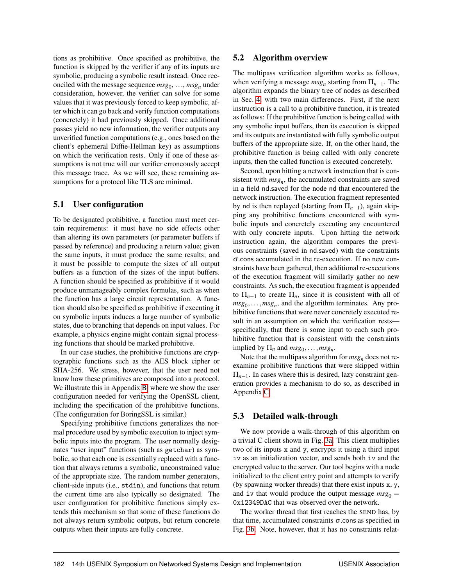tions as prohibitive. Once specified as prohibitive, the function is skipped by the verifier if any of its inputs are symbolic, producing a symbolic result instead. Once reconciled with the message sequence  $msg_0, \ldots, msg_n$  under consideration, however, the verifier can solve for some values that it was previously forced to keep symbolic, after which it can go back and verify function computations (concretely) it had previously skipped. Once additional passes yield no new information, the verifier outputs any unverified function computations (e.g., ones based on the client's ephemeral Diffie-Hellman key) as assumptions on which the verification rests. Only if one of these assumptions is not true will our verifier erroneously accept this message trace. As we will see, these remaining assumptions for a protocol like TLS are minimal.

#### 5.1 User configuration

To be designated prohibitive, a function must meet certain requirements: it must have no side effects other than altering its own parameters (or parameter buffers if passed by reference) and producing a return value; given the same inputs, it must produce the same results; and it must be possible to compute the sizes of all output buffers as a function of the sizes of the input buffers. A function should be specified as prohibitive if it would produce unmanageably complex formulas, such as when the function has a large circuit representation. A function should also be specified as prohibitive if executing it on symbolic inputs induces a large number of symbolic states, due to branching that depends on input values. For example, a physics engine might contain signal processing functions that should be marked prohibitive.

In our case studies, the prohibitive functions are cryptographic functions such as the AES block cipher or SHA-256. We stress, however, that the user need not know how these primitives are composed into a protocol. We illustrate this in Appendix B, where we show the user configuration needed for verifying the OpenSSL client, including the specification of the prohibitive functions. (The configuration for BoringSSL is similar.)

Specifying prohibitive functions generalizes the normal procedure used by symbolic execution to inject symbolic inputs into the program. The user normally designates "user input" functions (such as getchar) as symbolic, so that each one is essentially replaced with a function that always returns a symbolic, unconstrained value of the appropriate size. The random number generators, client-side inputs (i.e., stdin), and functions that return the current time are also typically so designated. The user configuration for prohibitive functions simply extends this mechanism so that some of these functions do not always return symbolic outputs, but return concrete outputs when their inputs are fully concrete.

#### 5.2 Algorithm overview

The multipass verification algorithm works as follows, when verifying a message *msg<sup>n</sup>* starting from Π*n*−1. The algorithm expands the binary tree of nodes as described in Sec. 4, with two main differences. First, if the next instruction is a call to a prohibitive function, it is treated as follows: If the prohibitive function is being called with any symbolic input buffers, then its execution is skipped and its outputs are instantiated with fully symbolic output buffers of the appropriate size. If, on the other hand, the prohibitive function is being called with only concrete inputs, then the called function is executed concretely.

Second, upon hitting a network instruction that is consistent with  $msg_n$ , the accumulated constraints are saved in a field nd.saved for the node nd that encountered the network instruction. The execution fragment represented by nd is then replayed (starting from  $\Pi_{n-1}$ ), again skipping any prohibitive functions encountered with symbolic inputs and concretely executing any encountered with only concrete inputs. Upon hitting the network instruction again, the algorithm compares the previous constraints (saved in nd.saved) with the constraints σ.cons accumulated in the re-execution. If no new constraints have been gathered, then additional re-executions of the execution fragment will similarly gather no new constraints. As such, the execution fragment is appended to  $\Pi_{n-1}$  to create  $\Pi_n$ , since it is consistent with all of  $msg_0, \ldots, msg_n$ , and the algorithm terminates. Any prohibitive functions that were never concretely executed result in an assumption on which the verification rests specifically, that there is some input to each such prohibitive function that is consistent with the constraints implied by  $\Pi_n$  and  $msg_0, \ldots, msg_n$ .

Note that the multipass algorithm for *msg<sup>n</sup>* does not reexamine prohibitive functions that were skipped within  $\Pi_{n-1}$ . In cases where this is desired, lazy constraint generation provides a mechanism to do so, as described in Appendix C.

#### 5.3 Detailed walk-through

We now provide a walk-through of this algorithm on a trivial C client shown in Fig. 3a. This client multiplies two of its inputs x and y, encrypts it using a third input iv as an initialization vector, and sends both iv and the encrypted value to the server. Our tool begins with a node initialized to the client entry point and attempts to verify (by spawning worker threads) that there exist inputs x, y, and iv that would produce the output message  $msg_0 =$ 0x12349DAC that was observed over the network.

The worker thread that first reaches the SEND has, by that time, accumulated constraints  $\sigma$  cons as specified in Fig. 3b. Note, however, that it has no constraints relat-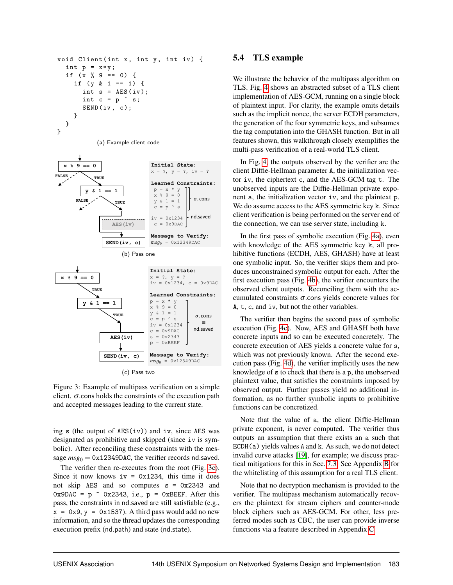

(a) Example client code



Figure 3: Example of multipass verification on a simple client.  $\sigma$  cons holds the constraints of the execution path and accepted messages leading to the current state.

ing s (the output of AES(iv)) and iv, since AES was designated as prohibitive and skipped (since iv is symbolic). After reconciling these constraints with the message  $msg_0 = 0x12349DAC$ , the verifier records nd.saved.

The verifier then re-executes from the root (Fig. 3c). Since it now knows  $iv = 0x1234$ , this time it does not skip AES and so computes s = 0x2343 and  $0x9DAC = p$  0x2343, i.e.,  $p = 0xBEEF$ . After this pass, the constraints in nd.saved are still satisfiable (e.g.,  $x = 0x9$ ,  $y = 0x1537$ . A third pass would add no new information, and so the thread updates the corresponding execution prefix (nd.path) and state (nd.state).

#### 5.4 TLS example

We illustrate the behavior of the multipass algorithm on TLS. Fig. 4 shows an abstracted subset of a TLS client implementation of AES-GCM, running on a single block of plaintext input. For clarity, the example omits details such as the implicit nonce, the server ECDH parameters, the generation of the four symmetric keys, and subsumes the tag computation into the GHASH function. But in all features shown, this walkthrough closely exemplifies the multi-pass verification of a real-world TLS client.

In Fig. 4, the outputs observed by the verifier are the client Diffie-Hellman parameter A, the initialization vector iv, the ciphertext c, and the AES-GCM tag t. The unobserved inputs are the Diffie-Hellman private exponent a, the initialization vector iv, and the plaintext p. We do assume access to the AES symmetric key k. Since client verification is being performed on the server end of the connection, we can use server state, including k.

In the first pass of symbolic execution (Fig. 4a), even with knowledge of the AES symmetric key k, all prohibitive functions (ECDH, AES, GHASH) have at least one symbolic input. So, the verifier skips them and produces unconstrained symbolic output for each. After the first execution pass (Fig. 4b), the verifier encounters the observed client outputs. Reconciling them with the accumulated constraints  $\sigma$  cons yields concrete values for A, t, c, and iv, but not the other variables.

The verifier then begins the second pass of symbolic execution (Fig. 4c). Now, AES and GHASH both have concrete inputs and so can be executed concretely. The concrete execution of AES yields a concrete value for s, which was not previously known. After the second execution pass (Fig. 4d), the verifier implicitly uses the new knowledge of s to check that there is a p, the unobserved plaintext value, that satisfies the constraints imposed by observed output. Further passes yield no additional information, as no further symbolic inputs to prohibitive functions can be concretized.

Note that the value of a, the client Diffie-Hellman private exponent, is never computed. The verifier thus outputs an assumption that there exists an a such that  $ECDH(a)$  yields values A and k. As such, we do not detect invalid curve attacks [19], for example; we discuss practical mitigations for this in Sec. 7.3. See Appendix B for the whitelisting of this assumption for a real TLS client.

Note that no decryption mechanism is provided to the verifier. The multipass mechanism automatically recovers the plaintext for stream ciphers and counter-mode block ciphers such as AES-GCM. For other, less preferred modes such as CBC, the user can provide inverse functions via a feature described in Appendix C.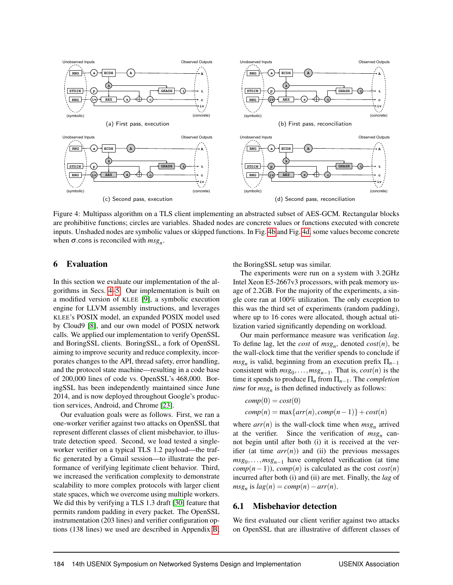

Figure 4: Multipass algorithm on a TLS client implementing an abstracted subset of AES-GCM. Rectangular blocks are prohibitive functions; circles are variables. Shaded nodes are concrete values or functions executed with concrete inputs. Unshaded nodes are symbolic values or skipped functions. In Fig. 4b and Fig. 4d, some values become concrete when  $\sigma$  cons is reconciled with  $msg_n$ .

#### 6 Evaluation

In this section we evaluate our implementation of the algorithms in Secs. 4–5. Our implementation is built on a modified version of KLEE [9], a symbolic execution engine for LLVM assembly instructions, and leverages KLEE's POSIX model, an expanded POSIX model used by Cloud9 [8], and our own model of POSIX network calls. We applied our implementation to verify OpenSSL and BoringSSL clients. BoringSSL, a fork of OpenSSL aiming to improve security and reduce complexity, incorporates changes to the API, thread safety, error handling, and the protocol state machine—resulting in a code base of 200,000 lines of code vs. OpenSSL's 468,000. BoringSSL has been independently maintained since June 2014, and is now deployed throughout Google's production services, Android, and Chrome [23].

Our evaluation goals were as follows. First, we ran a one-worker verifier against two attacks on OpenSSL that represent different classes of client misbehavior, to illustrate detection speed. Second, we load tested a singleworker verifier on a typical TLS 1.2 payload—the traffic generated by a Gmail session—to illustrate the performance of verifying legitimate client behavior. Third, we increased the verification complexity to demonstrate scalability to more complex protocols with larger client state spaces, which we overcome using multiple workers. We did this by verifying a TLS 1.3 draft [30] feature that permits random padding in every packet. The OpenSSL instrumentation (203 lines) and verifier configuration options (138 lines) we used are described in Appendix B; the BoringSSL setup was similar.

The experiments were run on a system with 3.2GHz Intel Xeon E5-2667v3 processors, with peak memory usage of 2.2GB. For the majority of the experiments, a single core ran at 100% utilization. The only exception to this was the third set of experiments (random padding), where up to 16 cores were allocated, though actual utilization varied significantly depending on workload.

Our main performance measure was verification *lag*. To define lag, let the *cost* of *msg<sup>n</sup>* , denoted *cost*(*n*), be the wall-clock time that the verifier spends to conclude if  $msg<sub>n</sub>$  is valid, beginning from an execution prefix  $\Pi<sub>n-1</sub>$ consistent with  $msg_0, \ldots, msg_{n-1}$ . That is,  $cost(n)$  is the time it spends to produce  $\Pi_n$  from  $\Pi_{n-1}$ . The *completion time* for *msg<sup>n</sup>* is then defined inductively as follows:

$$
comp(0) = cost(0)
$$
  
comp(n) = max{ $arr(n)$ , comp(n-1)} + cost(n)

where  $arr(n)$  is the wall-clock time when  $msg_n$  arrived at the verifier. Since the verification of *msg<sup>n</sup>* cannot begin until after both (i) it is received at the verifier (at time  $arr(n)$ ) and (ii) the previous messages *msg*<sub>0</sub>,...,*msg*<sub>*n*−1</sub> have completed verification (at time  $comp(n-1)$ ,  $comp(n)$  is calculated as the cost  $cost(n)$ incurred after both (i) and (ii) are met. Finally, the *lag* of  $msg_n$  is  $lag(n) = comp(n) - arr(n)$ .

#### 6.1 Misbehavior detection

We first evaluated our client verifier against two attacks on OpenSSL that are illustrative of different classes of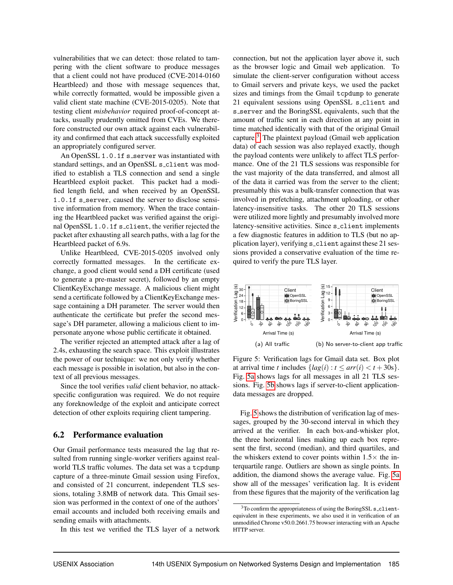vulnerabilities that we can detect: those related to tampering with the client software to produce messages that a client could not have produced (CVE-2014-0160 Heartbleed) and those with message sequences that, while correctly formatted, would be impossible given a valid client state machine (CVE-2015-0205). Note that testing client *misbehavior* required proof-of-concept attacks, usually prudently omitted from CVEs. We therefore constructed our own attack against each vulnerability and confirmed that each attack successfully exploited an appropriately configured server.

An OpenSSL 1.0.1f s\_server was instantiated with standard settings, and an OpenSSL s\_client was modified to establish a TLS connection and send a single Heartbleed exploit packet. This packet had a modified length field, and when received by an OpenSSL 1.0.1f s\_server, caused the server to disclose sensitive information from memory. When the trace containing the Heartbleed packet was verified against the original OpenSSL 1.0.1f s\_client, the verifier rejected the packet after exhausting all search paths, with a lag for the Heartbleed packet of 6.9s.

Unlike Heartbleed, CVE-2015-0205 involved only correctly formatted messages. In the certificate exchange, a good client would send a DH certificate (used to generate a pre-master secret), followed by an empty ClientKeyExchange message. A malicious client might send a certificate followed by a ClientKeyExchange message containing a DH parameter. The server would then authenticate the certificate but prefer the second message's DH parameter, allowing a malicious client to impersonate anyone whose public certificate it obtained.

The verifier rejected an attempted attack after a lag of 2.4s, exhausting the search space. This exploit illustrates the power of our technique: we not only verify whether each message is possible in isolation, but also in the context of all previous messages.

Since the tool verifies *valid* client behavior, no attackspecific configuration was required. We do not require any foreknowledge of the exploit and anticipate correct detection of other exploits requiring client tampering.

#### 6.2 Performance evaluation

Our Gmail performance tests measured the lag that resulted from running single-worker verifiers against realworld TLS traffic volumes. The data set was a tcpdump capture of a three-minute Gmail session using Firefox, and consisted of 21 concurrent, independent TLS sessions, totaling 3.8MB of network data. This Gmail session was performed in the context of one of the authors' email accounts and included both receiving emails and sending emails with attachments.

In this test we verified the TLS layer of a network

connection, but not the application layer above it, such as the browser logic and Gmail web application. To simulate the client-server configuration without access to Gmail servers and private keys, we used the packet sizes and timings from the Gmail tcpdump to generate 21 equivalent sessions using OpenSSL s client and s server and the BoringSSL equivalents, such that the amount of traffic sent in each direction at any point in time matched identically with that of the original Gmail capture. $3$  The plaintext payload (Gmail web application data) of each session was also replayed exactly, though the payload contents were unlikely to affect TLS performance. One of the 21 TLS sessions was responsible for the vast majority of the data transferred, and almost all of the data it carried was from the server to the client; presumably this was a bulk-transfer connection that was involved in prefetching, attachment uploading, or other latency-insensitive tasks. The other 20 TLS sessions were utilized more lightly and presumably involved more latency-sensitive activities. Since s\_client implements a few diagnostic features in addition to TLS (but no application layer), verifying s client against these 21 sessions provided a conservative evaluation of the time required to verify the pure TLS layer.



Figure 5: Verification lags for Gmail data set. Box plot at arrival time *t* includes  $\{lag(i) : t \leq arr(i) < t + 30s \}.$ Fig. 5a shows lags for all messages in all 21 TLS sessions. Fig. 5b shows lags if server-to-client applicationdata messages are dropped.

Fig. 5 shows the distribution of verification lag of messages, grouped by the 30-second interval in which they arrived at the verifier. In each box-and-whisker plot, the three horizontal lines making up each box represent the first, second (median), and third quartiles, and the whiskers extend to cover points within  $1.5\times$  the interquartile range. Outliers are shown as single points. In addition, the diamond shows the average value. Fig. 5a show all of the messages' verification lag. It is evident from these figures that the majority of the verification lag

<sup>&</sup>lt;sup>3</sup>To confirm the appropriateness of using the BoringSSL s\_clientequivalent in these experiments, we also used it in verification of an unmodified Chrome v50.0.2661.75 browser interacting with an Apache HTTP server.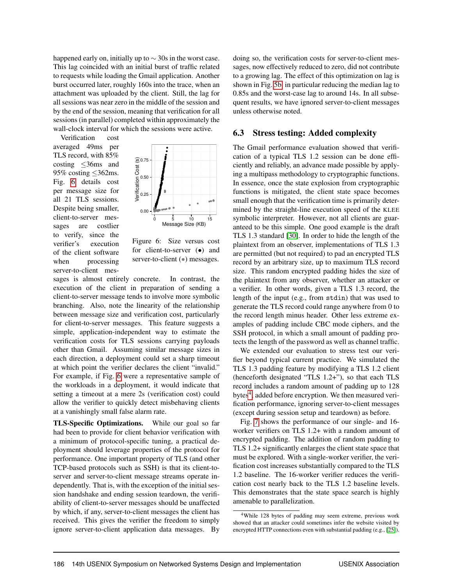happened early on, initially up to  $\sim$  30s in the worst case. This lag coincided with an initial burst of traffic related to requests while loading the Gmail application. Another burst occurred later, roughly 160s into the trace, when an attachment was uploaded by the client. Still, the lag for all sessions was near zero in the middle of the session and by the end of the session, meaning that verification for all sessions (in parallel) completed within approximately the wall-clock interval for which the sessions were active.

Verification cost averaged 49ms per TLS record, with 85% costing ≤36ms and 95% costing ≤362ms. Fig. 6 details cost per message size for all 21 TLS sessions. Despite being smaller, client-to-server messages are costlier to verify, since the verifier's execution of the client software when processing server-to-client mes-



Figure 6: Size versus cost for client-to-server  $\left( \bullet \right)$  and server-to-client ( $\bullet$ ) messages.

sages is almost entirely concrete. In contrast, the execution of the client in preparation of sending a client-to-server message tends to involve more symbolic branching. Also, note the linearity of the relationship between message size and verification cost, particularly for client-to-server messages. This feature suggests a simple, application-independent way to estimate the verification costs for TLS sessions carrying payloads other than Gmail. Assuming similar message sizes in each direction, a deployment could set a sharp timeout at which point the verifier declares the client "invalid." For example, if Fig. 6 were a representative sample of the workloads in a deployment, it would indicate that setting a timeout at a mere 2s (verification cost) could allow the verifier to quickly detect misbehaving clients at a vanishingly small false alarm rate.

TLS-Specific Optimizations. While our goal so far had been to provide for client behavior verification with a minimum of protocol-specific tuning, a practical deployment should leverage properties of the protocol for performance. One important property of TLS (and other TCP-based protocols such as SSH) is that its client-toserver and server-to-client message streams operate independently. That is, with the exception of the initial session handshake and ending session teardown, the verifiability of client-to-server messages should be unaffected by which, if any, server-to-client messages the client has received. This gives the verifier the freedom to simply ignore server-to-client application data messages. By doing so, the verification costs for server-to-client messages, now effectively reduced to zero, did not contribute to a growing lag. The effect of this optimization on lag is shown in Fig. 5b, in particular reducing the median lag to 0.85s and the worst-case lag to around 14s. In all subsequent results, we have ignored server-to-client messages unless otherwise noted.

#### 6.3 Stress testing: Added complexity

The Gmail performance evaluation showed that verification of a typical TLS 1.2 session can be done efficiently and reliably, an advance made possible by applying a multipass methodology to cryptographic functions. In essence, once the state explosion from cryptographic functions is mitigated, the client state space becomes small enough that the verification time is primarily determined by the straight-line execution speed of the KLEE symbolic interpreter. However, not all clients are guaranteed to be this simple. One good example is the draft TLS 1.3 standard [30]. In order to hide the length of the plaintext from an observer, implementations of TLS 1.3 are permitted (but not required) to pad an encrypted TLS record by an arbitrary size, up to maximum TLS record size. This random encrypted padding hides the size of the plaintext from any observer, whether an attacker or a verifier. In other words, given a TLS 1.3 record, the length of the input (e.g., from stdin) that was used to generate the TLS record could range anywhere from 0 to the record length minus header. Other less extreme examples of padding include CBC mode ciphers, and the SSH protocol, in which a small amount of padding protects the length of the password as well as channel traffic.

We extended our evaluation to stress test our verifier beyond typical current practice. We simulated the TLS 1.3 padding feature by modifying a TLS 1.2 client (henceforth designated "TLS 1.2+"), so that each TLS record includes a random amount of padding up to 128 bytes<sup>4</sup>, added before encryption. We then measured verification performance, ignoring server-to-client messages (except during session setup and teardown) as before.

Fig. 7 shows the performance of our single- and 16 worker verifiers on TLS 1.2+ with a random amount of encrypted padding. The addition of random padding to TLS 1.2+ significantly enlarges the client state space that must be explored. With a single-worker verifier, the verification cost increases substantially compared to the TLS 1.2 baseline. The 16-worker verifier reduces the verification cost nearly back to the TLS 1.2 baseline levels. This demonstrates that the state space search is highly amenable to parallelization.

<sup>4</sup>While 128 bytes of padding may seem extreme, previous work showed that an attacker could sometimes infer the website visited by encrypted HTTP connections even with substantial padding (e.g., [25]).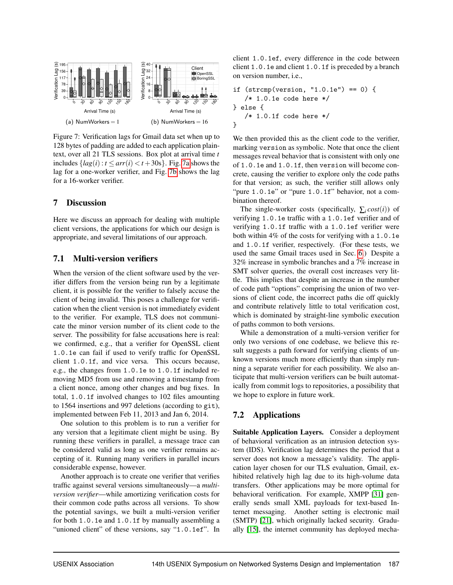

Figure 7: Verification lags for Gmail data set when up to 128 bytes of padding are added to each application plaintext, over all 21 TLS sessions. Box plot at arrival time *t* includes  ${lag(i) : t \leq arr(i) < t + 30s}$ . Fig. 7a shows the lag for a one-worker verifier, and Fig. 7b shows the lag for a 16-worker verifier.

#### 7 Discussion

Here we discuss an approach for dealing with multiple client versions, the applications for which our design is appropriate, and several limitations of our approach.

#### 7.1 Multi-version verifiers

When the version of the client software used by the verifier differs from the version being run by a legitimate client, it is possible for the verifier to falsely accuse the client of being invalid. This poses a challenge for verification when the client version is not immediately evident to the verifier. For example, TLS does not communicate the minor version number of its client code to the server. The possibility for false accusations here is real: we confirmed, e.g., that a verifier for OpenSSL client 1.0.1e can fail if used to verify traffic for OpenSSL client 1.0.1f, and vice versa. This occurs because, e.g., the changes from 1.0.1e to 1.0.1f included removing MD5 from use and removing a timestamp from a client nonce, among other changes and bug fixes. In total, 1.0.1f involved changes to 102 files amounting to 1564 insertions and 997 deletions (according to git), implemented between Feb 11, 2013 and Jan 6, 2014.

One solution to this problem is to run a verifier for any version that a legitimate client might be using. By running these verifiers in parallel, a message trace can be considered valid as long as one verifier remains accepting of it. Running many verifiers in parallel incurs considerable expense, however.

Another approach is to create one verifier that verifies traffic against several versions simultaneously—a *multiversion verifier*—while amortizing verification costs for their common code paths across all versions. To show the potential savings, we built a multi-version verifier for both 1.0.1e and 1.0.1f by manually assembling a "unioned client" of these versions, say "1.0.1ef". In client 1.0.1ef, every difference in the code between client 1.0.1e and client 1.0.1f is preceded by a branch on version number, i.e.,

```
if (strcmp(version, "1.0.1e") == 0) {
   /* 1.0.1e code here */
} else {
   /* 1.0.1f code here */}
```
We then provided this as the client code to the verifier, marking version as symbolic. Note that once the client messages reveal behavior that is consistent with only one of 1.0.1e and 1.0.1f, then version will become concrete, causing the verifier to explore only the code paths for that version; as such, the verifier still allows only "pure 1.0.1e" or "pure 1.0.1f" behavior, not a combination thereof.

The single-worker costs (specifically,  $\sum_i cost(i)$ ) of verifying 1.0.1e traffic with a 1.0.1ef verifier and of verifying 1.0.1f traffic with a 1.0.1ef verifier were both within 4% of the costs for verifying with a 1.0.1e and 1.0.1f verifier, respectively. (For these tests, we used the same Gmail traces used in Sec. 6.) Despite a 32% increase in symbolic branches and a 7% increase in SMT solver queries, the overall cost increases very little. This implies that despite an increase in the number of code path "options" comprising the union of two versions of client code, the incorrect paths die off quickly and contribute relatively little to total verification cost, which is dominated by straight-line symbolic execution of paths common to both versions.

While a demonstration of a multi-version verifier for only two versions of one codebase, we believe this result suggests a path forward for verifying clients of unknown versions much more efficiently than simply running a separate verifier for each possibility. We also anticipate that multi-version verifiers can be built automatically from commit logs to repositories, a possibility that we hope to explore in future work.

## 7.2 Applications

Suitable Application Layers. Consider a deployment of behavioral verification as an intrusion detection system (IDS). Verification lag determines the period that a server does not know a message's validity. The application layer chosen for our TLS evaluation, Gmail, exhibited relatively high lag due to its high-volume data transfers. Other applications may be more optimal for behavioral verification. For example, XMPP [31] generally sends small XML payloads for text-based Internet messaging. Another setting is electronic mail (SMTP) [21], which originally lacked security. Gradually [15], the internet community has deployed mecha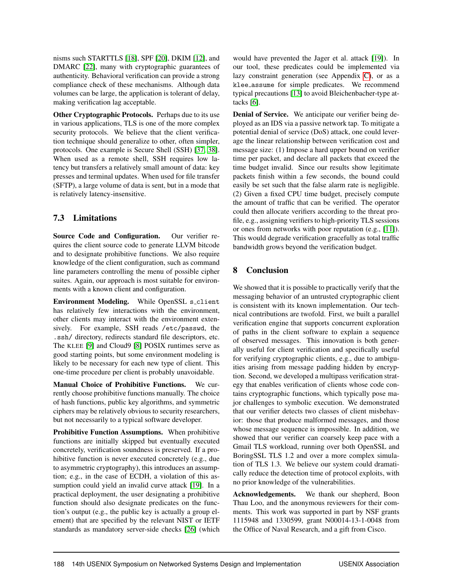nisms such STARTTLS [18], SPF [20], DKIM [12], and DMARC [22], many with cryptographic guarantees of authenticity. Behavioral verification can provide a strong compliance check of these mechanisms. Although data volumes can be large, the application is tolerant of delay, making verification lag acceptable.

Other Cryptographic Protocols. Perhaps due to its use in various applications, TLS is one of the more complex security protocols. We believe that the client verification technique should generalize to other, often simpler, protocols. One example is Secure Shell (SSH) [37, 38]. When used as a remote shell, SSH requires low latency but transfers a relatively small amount of data: key presses and terminal updates. When used for file transfer (SFTP), a large volume of data is sent, but in a mode that is relatively latency-insensitive.

# 7.3 Limitations

Source Code and Configuration. Our verifier requires the client source code to generate LLVM bitcode and to designate prohibitive functions. We also require knowledge of the client configuration, such as command line parameters controlling the menu of possible cipher suites. Again, our approach is most suitable for environments with a known client and configuration.

Environment Modeling. While OpenSSL s\_client has relatively few interactions with the environment, other clients may interact with the environment extensively. For example, SSH reads /etc/passwd, the .ssh/ directory, redirects standard file descriptors, etc. The KLEE [9] and Cloud9 [8] POSIX runtimes serve as good starting points, but some environment modeling is likely to be necessary for each new type of client. This one-time procedure per client is probably unavoidable.

Manual Choice of Prohibitive Functions. We currently choose prohibitive functions manually. The choice of hash functions, public key algorithms, and symmetric ciphers may be relatively obvious to security researchers, but not necessarily to a typical software developer.

Prohibitive Function Assumptions. When prohibitive functions are initially skipped but eventually executed concretely, verification soundness is preserved. If a prohibitive function is never executed concretely (e.g., due to asymmetric cryptography), this introduces an assumption; e.g., in the case of ECDH, a violation of this assumption could yield an invalid curve attack [19]. In a practical deployment, the user designating a prohibitive function should also designate predicates on the function's output (e.g., the public key is actually a group element) that are specified by the relevant NIST or IETF standards as mandatory server-side checks [26] (which would have prevented the Jager et al. attack [19]). In our tool, these predicates could be implemented via lazy constraint generation (see Appendix C), or as a klee assume for simple predicates. We recommend typical precautions [13] to avoid Bleichenbacher-type attacks [6].

Denial of Service. We anticipate our verifier being deployed as an IDS via a passive network tap. To mitigate a potential denial of service (DoS) attack, one could leverage the linear relationship between verification cost and message size: (1) Impose a hard upper bound on verifier time per packet, and declare all packets that exceed the time budget invalid. Since our results show legitimate packets finish within a few seconds, the bound could easily be set such that the false alarm rate is negligible. (2) Given a fixed CPU time budget, precisely compute the amount of traffic that can be verified. The operator could then allocate verifiers according to the threat profile, e.g., assigning verifiers to high-priority TLS sessions or ones from networks with poor reputation (e.g., [11]). This would degrade verification gracefully as total traffic bandwidth grows beyond the verification budget.

# 8 Conclusion

We showed that it is possible to practically verify that the messaging behavior of an untrusted cryptographic client is consistent with its known implementation. Our technical contributions are twofold. First, we built a parallel verification engine that supports concurrent exploration of paths in the client software to explain a sequence of observed messages. This innovation is both generally useful for client verification and specifically useful for verifying cryptographic clients, e.g., due to ambiguities arising from message padding hidden by encryption. Second, we developed a multipass verification strategy that enables verification of clients whose code contains cryptographic functions, which typically pose major challenges to symbolic execution. We demonstrated that our verifier detects two classes of client misbehavior: those that produce malformed messages, and those whose message sequence is impossible. In addition, we showed that our verifier can coarsely keep pace with a Gmail TLS workload, running over both OpenSSL and BoringSSL TLS 1.2 and over a more complex simulation of TLS 1.3. We believe our system could dramatically reduce the detection time of protocol exploits, with no prior knowledge of the vulnerabilities.

Acknowledgements. We thank our shepherd, Boon Thau Loo, and the anonymous reviewers for their comments. This work was supported in part by NSF grants 1115948 and 1330599, grant N00014-13-1-0048 from the Office of Naval Research, and a gift from Cisco.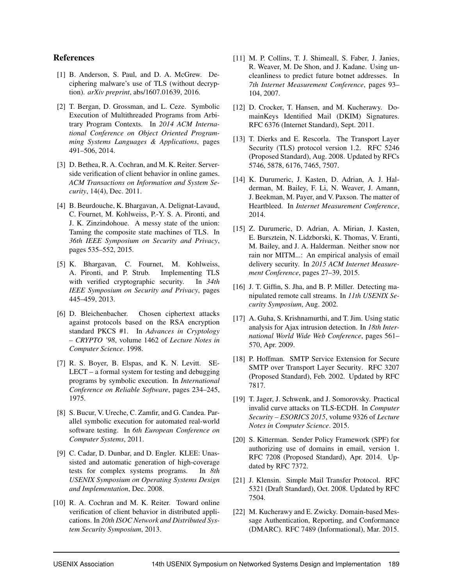#### References

- [1] B. Anderson, S. Paul, and D. A. McGrew. Deciphering malware's use of TLS (without decryption). *arXiv preprint*, abs/1607.01639, 2016.
- [2] T. Bergan, D. Grossman, and L. Ceze. Symbolic Execution of Multithreaded Programs from Arbitrary Program Contexts. In *2014 ACM International Conference on Object Oriented Programming Systems Languages & Applications*, pages 491–506, 2014.
- [3] D. Bethea, R. A. Cochran, and M. K. Reiter. Serverside verification of client behavior in online games. *ACM Transactions on Information and System Security*, 14(4), Dec. 2011.
- [4] B. Beurdouche, K. Bhargavan, A. Delignat-Lavaud, C. Fournet, M. Kohlweiss, P.-Y. S. A. Pironti, and J. K. Zinzindohoue. A messy state of the union: Taming the composite state machines of TLS. In *36th IEEE Symposium on Security and Privacy*, pages 535–552, 2015.
- [5] K. Bhargavan, C. Fournet, M. Kohlweiss, A. Pironti, and P. Strub. Implementing TLS with verified cryptographic security. In *34th IEEE Symposium on Security and Privacy*, pages 445–459, 2013.
- [6] D. Bleichenbacher. Chosen ciphertext attacks against protocols based on the RSA encryption standard PKCS #1. In *Advances in Cryptology – CRYPTO '98*, volume 1462 of *Lecture Notes in Computer Science*. 1998.
- [7] R. S. Boyer, B. Elspas, and K. N. Levitt. SE-LECT – a formal system for testing and debugging programs by symbolic execution. In *International Conference on Reliable Software*, pages 234–245, 1975.
- [8] S. Bucur, V. Ureche, C. Zamfir, and G. Candea. Parallel symbolic execution for automated real-world software testing. In *6th European Conference on Computer Systems*, 2011.
- [9] C. Cadar, D. Dunbar, and D. Engler. KLEE: Unassisted and automatic generation of high-coverage tests for complex systems programs. In *8th USENIX Symposium on Operating Systems Design and Implementation*, Dec. 2008.
- [10] R. A. Cochran and M. K. Reiter. Toward online verification of client behavior in distributed applications. In *20th ISOC Network and Distributed System Security Symposium*, 2013.
- [11] M. P. Collins, T. J. Shimeall, S. Faber, J. Janies, R. Weaver, M. De Shon, and J. Kadane. Using uncleanliness to predict future botnet addresses. In *7th Internet Measurement Conference*, pages 93– 104, 2007.
- [12] D. Crocker, T. Hansen, and M. Kucherawy. DomainKeys Identified Mail (DKIM) Signatures. RFC 6376 (Internet Standard), Sept. 2011.
- [13] T. Dierks and E. Rescorla. The Transport Layer Security (TLS) protocol version 1.2. RFC 5246 (Proposed Standard), Aug. 2008. Updated by RFCs 5746, 5878, 6176, 7465, 7507.
- [14] K. Durumeric, J. Kasten, D. Adrian, A. J. Halderman, M. Bailey, F. Li, N. Weaver, J. Amann, J. Beekman, M. Payer, and V. Paxson. The matter of Heartbleed. In *Internet Measurement Conference*, 2014.
- [15] Z. Durumeric, D. Adrian, A. Mirian, J. Kasten, E. Bursztein, N. Lidzborski, K. Thomas, V. Eranti, M. Bailey, and J. A. Halderman. Neither snow nor rain nor MITM...: An empirical analysis of email delivery security. In *2015 ACM Internet Measurement Conference*, pages 27–39, 2015.
- [16] J. T. Giffin, S. Jha, and B. P. Miller. Detecting manipulated remote call streams. In *11th USENIX Security Symposium*, Aug. 2002.
- [17] A. Guha, S. Krishnamurthi, and T. Jim. Using static analysis for Ajax intrusion detection. In *18th International World Wide Web Conference*, pages 561– 570, Apr. 2009.
- [18] P. Hoffman. SMTP Service Extension for Secure SMTP over Transport Layer Security. RFC 3207 (Proposed Standard), Feb. 2002. Updated by RFC 7817.
- [19] T. Jager, J. Schwenk, and J. Somorovsky. Practical invalid curve attacks on TLS-ECDH. In *Computer Security – ESORICS 2015*, volume 9326 of *Lecture Notes in Computer Science*. 2015.
- [20] S. Kitterman. Sender Policy Framework (SPF) for authorizing use of domains in email, version 1. RFC 7208 (Proposed Standard), Apr. 2014. Updated by RFC 7372.
- [21] J. Klensin. Simple Mail Transfer Protocol. RFC 5321 (Draft Standard), Oct. 2008. Updated by RFC 7504.
- [22] M. Kucherawy and E. Zwicky. Domain-based Message Authentication, Reporting, and Conformance (DMARC). RFC 7489 (Informational), Mar. 2015.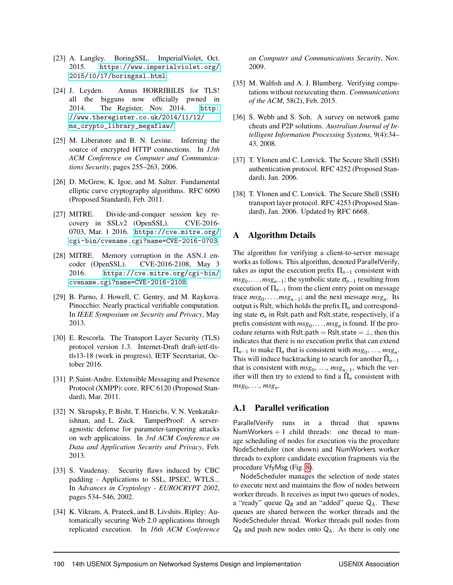- [23] A. Langley. BoringSSL. ImperialViolet, Oct. 2015. [https://www.imperialviolet.org/](https://www.imperialviolet.org/2015/10/17/boringssl.html) [2015/10/17/boringssl.html](https://www.imperialviolet.org/2015/10/17/boringssl.html).
- [24] J. Leyden. Annus HORRIBILIS for TLS! all the bigguns now officially pwned in 2014. The Register, Nov. 2014. [http:](http://www.theregister.co.uk/2014/11/12/ms_crypto_library_megaflaw/) [//www.theregister.co.uk/2014/11/12/](http://www.theregister.co.uk/2014/11/12/ms_crypto_library_megaflaw/) [ms\\_crypto\\_library\\_megaflaw/](http://www.theregister.co.uk/2014/11/12/ms_crypto_library_megaflaw/).
- [25] M. Liberatore and B. N. Levine. Inferring the source of encrypted HTTP connections. In *13th ACM Conference on Computer and Communications Security*, pages 255–263, 2006.
- [26] D. McGrew, K. Igoe, and M. Salter. Fundamental elliptic curve cryptography algorithms. RFC 6090 (Proposed Standard), Feb. 2011.
- [27] MITRE. Divide-and-conquer session key recovery in SSLv2 (OpenSSL). CVE-2016- 0703, Mar. 1 2016. [https://cve.mitre.org/](https://cve.mitre.org/cgi-bin/cvename.cgi?name=CVE-2016-0703) [cgi-bin/cvename.cgi?name=CVE-2016-0703](https://cve.mitre.org/cgi-bin/cvename.cgi?name=CVE-2016-0703).
- [28] MITRE. Memory corruption in the ASN.1 encoder (OpenSSL). CVE-2016-2108, May 3 2016. [https://cve.mitre.org/cgi-bin/](https://cve.mitre.org/cgi-bin/cvename.cgi?name=CVE-2016-2108) [cvename.cgi?name=CVE-2016-2108](https://cve.mitre.org/cgi-bin/cvename.cgi?name=CVE-2016-2108).
- [29] B. Parno, J. Howell, C. Gentry, and M. Raykova. Pinocchio: Nearly practical verifiable computation. In *IEEE Symposium on Security and Privacy*, May 2013.
- [30] E. Rescorla. The Transport Layer Security (TLS) protocol version 1.3. Internet-Draft draft-ietf-tlstls13-18 (work in progress), IETF Secretariat, October 2016.
- [31] P. Saint-Andre. Extensible Messaging and Presence Protocol (XMPP): core. RFC 6120 (Proposed Standard), Mar. 2011.
- [32] N. Skrupsky, P. Bisht, T. Hinrichs, V. N. Venkatakrishnan, and L. Zuck. TamperProof: A serveragnostic defense for parameter-tampering attacks on web applicatoins. In *3rd ACM Conference on Data and Application Security and Privacy*, Feb. 2013.
- [33] S. Vaudenay. Security flaws induced by CBC padding - Applications to SSL, IPSEC, WTLS... In *Advances in Cryptology - EUROCRYPT 2002*, pages 534–546, 2002.
- [34] K. Vikram, A. Prateek, and B. Livshits. Ripley: Automatically securing Web 2.0 applications through replicated execution. In *16th ACM Conference*

*on Computer and Communications Security*, Nov. 2009.

- [35] M. Walfish and A. J. Blumberg. Verifying computations without reexecuting them. *Communications of the ACM*, 58(2), Feb. 2015.
- [36] S. Webb and S. Soh. A survey on network game cheats and P2P solutions. *Australian Journal of Intelligent Information Processing Systems*, 9(4):34– 43, 2008.
- [37] T. Ylonen and C. Lonvick. The Secure Shell (SSH) authentication protocol. RFC 4252 (Proposed Standard), Jan. 2006.
- [38] T. Ylonen and C. Lonvick. The Secure Shell (SSH) transport layer protocol. RFC 4253 (Proposed Standard), Jan. 2006. Updated by RFC 6668.

## A Algorithm Details

The algorithm for verifying a client-to-server message works as follows. This algorithm, denoted ParallelVerify, takes as input the execution prefix  $\Pi_{n-1}$  consistent with  $msg_0, \ldots, msg_{n-1}$ ; the symbolic state  $\sigma_{n-1}$  resulting from execution of  $\Pi_{n-1}$  from the client entry point on message  $trace \, msg_0, \ldots, msg_{n-1}$ ; and the next message  $msg_n$ . Its output is Rslt, which holds the prefix Π*<sup>n</sup>* and corresponding state  $\sigma_n$  in Rslt.path and Rslt.state, respectively, if a prefix consistent with  $msg_0, \ldots, msg_n$  is found. If the procedure returns with Rslt.path = Rslt.state =  $\perp$ , then this indicates that there is no execution prefix that can extend  $\Pi_{n-1}$  to make  $\Pi_n$  that is consistent with  $msg_0, \ldots, msg_n$ . This will induce backtracking to search for another  $\hat{\Pi}_{n-1}$ that is consistent with  $msg_0, \ldots, msg_{n-1}$ , which the verifier will then try to extend to find a  $\hat{\Pi}_n$  consistent with  $msg_0, \ldots, msg_n.$ 

#### A.1 Parallel verification

ParallelVerify runs in a thread that spawns NumWorkers  $+ 1$  child threads: one thread to manage scheduling of nodes for execution via the procedure NodeScheduler (not shown) and NumWorkers worker threads to explore candidate execution fragments via the procedure VfyMsg (Fig. 8).

NodeScheduler manages the selection of node states to execute next and maintains the flow of nodes between worker threads. It receives as input two queues of nodes, a "ready" queue Q*<sup>R</sup>* and an "added" queue Q*A*. These queues are shared between the worker threads and the NodeScheduler thread. Worker threads pull nodes from  $Q_R$  and push new nodes onto  $Q_A$ . As there is only one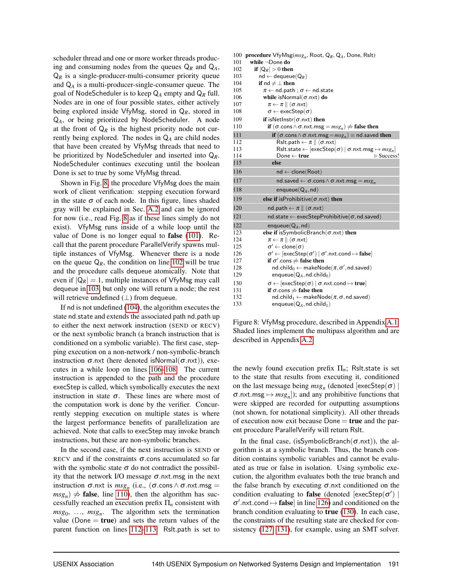scheduler thread and one or more worker threads producing and consuming nodes from the queues  $Q_R$  and  $Q_A$ ,  $Q_R$  is a single-producer-multi-consumer priority queue and Q*<sup>A</sup>* is a multi-producer-single-consumer queue. The goal of NodeScheduler is to keep Q*<sup>A</sup>* empty and Q*<sup>R</sup>* full. Nodes are in one of four possible states, either actively being explored inside VfyMsg, stored in Q*R*, stored in Q*A*, or being prioritized by NodeScheduler. A node at the front of  $Q_R$  is the highest priority node not currently being explored. The nodes in  $Q_A$  are child nodes that have been created by VfyMsg threads that need to be prioritized by NodeScheduler and inserted into Q*R*. NodeScheduler continues executing until the boolean Done is set to true by some VfyMsg thread.

Shown in Fig. 8, the procedure VfyMsg does the main work of client verification: stepping execution forward in the state  $\sigma$  of each node. In this figure, lines shaded gray will be explained in Sec. A.2 and can be ignored for now (i.e., read Fig. 8 as if these lines simply do not exist). VfyMsg runs inside of a while loop until the value of Done is no longer equal to false (101). Recall that the parent procedure ParallelVerify spawns multiple instances of VfyMsg. Whenever there is a node on the queue  $Q_R$ , the condition on line 102 will be true and the procedure calls dequeue atomically. Note that even if  $|Q_R| = 1$ , multiple instances of VfyMsg may call dequeue in 103, but only one will return a node; the rest will retrieve undefined  $(\perp)$  from dequeue.

If nd is not undefined (104), the algorithm executes the state nd.state and extends the associated path nd.path up to either the next network instruction (SEND or RECV) or the next symbolic branch (a branch instruction that is conditioned on a symbolic variable). The first case, stepping execution on a non-network / non-symbolic-branch instruction  $\sigma$ .nxt (here denoted isNormal( $\sigma$ .nxt)), executes in a while loop on lines 106–108. The current instruction is appended to the path and the procedure execStep is called, which symbolically executes the next instruction in state  $\sigma$ . These lines are where most of the computation work is done by the verifier. Concurrently stepping execution on multiple states is where the largest performance benefits of parallelization are achieved. Note that calls to execStep may invoke branch instructions, but these are non-symbolic branches.

In the second case, if the next instruction is SEND or RECV and if the constraints  $\sigma$  cons accumulated so far with the symbolic state  $\sigma$  do not contradict the possibility that the network I/O message  $\sigma$ .nxt.msg in the next instruction  $\sigma$ .nxt is  $msg_n$  (i.e., ( $\sigma$ .cons  $\land \sigma$ .nxt.msg =  $(msg_n) \neq$  **false**, line 110), then the algorithm has successfully reached an execution prefix Π*<sup>n</sup>* consistent with  $msg_0, \ldots, msg_n$ . The algorithm sets the termination value (Done  $=$  true) and sets the return values of the parent function on lines 112–113: Rslt.path is set to

| 100 | <b>procedure</b> $VfyMsg(msg_n, Root, Q_R, Q_A, Done, Rslt)$                                                                       |
|-----|------------------------------------------------------------------------------------------------------------------------------------|
| 101 | while $\neg$ Done do                                                                                                               |
| 102 | if $ Q_R  > 0$ then                                                                                                                |
| 103 | $\mathsf{nd} \leftarrow \mathsf{dequeue}(Q_R)$                                                                                     |
| 104 | if $nd \neq \perp$ then                                                                                                            |
| 105 | $\pi$ $\leftarrow$ nd.path ; $\sigma$ $\leftarrow$ nd.state                                                                        |
| 106 | while isNormal $(\sigma$ .nxt) do                                                                                                  |
| 107 | $\pi \leftarrow \pi \parallel \langle \sigma \text{.nxt} \rangle$                                                                  |
| 108 | $\sigma \leftarrow$ exec $Step(\sigma)$                                                                                            |
| 109 | if isNetInstr( $\sigma$ .nxt) then                                                                                                 |
| 110 | if $(\sigma \text{-} \cos \wedge \sigma \text{-} n \times \text{+} \cos \phi) \neq \text{false}$ then                              |
| 111 | if $(\sigma \text{-} \cos \wedge \sigma \text{-} n \times t \text{-} m s g_m) \equiv \text{nd} \text{-} s a \vee \text{d} t h e n$ |
| 112 | Rslt.path $\leftarrow \pi \parallel \langle \sigma$ .nxt $\rangle$                                                                 |
| 113 | Rslt.state $\leftarrow$ [execStep( $\sigma$ )   $\sigma$ .nxt.msg $\mapsto msg_n$ ]                                                |
| 114 | $\triangleright$ Success!<br>Done $\leftarrow$ true                                                                                |
| 115 | else                                                                                                                               |
| 116 | $nd \leftarrow clone(Root)$                                                                                                        |
| 117 | nd.saved $\leftarrow \sigma$ .cons $\wedge \sigma$ .nxt.msg = $msg_n$                                                              |
| 118 | enqueue( $Q_A$ , nd)                                                                                                               |
| 119 | else if is Prohibitive ( $\sigma$ .nxt) then                                                                                       |
| 120 | $\mathsf{nd}.\mathsf{path} \leftarrow \pi \mathbin{\ } \langle \sigma.\mathsf{nxt}\rangle$                                         |
| 121 | $nd.state \leftarrow execStepProhibitive(\sigma, nd.saved)$                                                                        |
| 122 | enqueue( $Q_A$ , nd)                                                                                                               |
| 123 | else if isSymbolicBranch( $\sigma$ .nxt) then                                                                                      |
| 124 | $\pi \leftarrow \pi \mathbin\Vert \langle \sigma {\mathsf{.nxt}} \rangle$                                                          |
| 125 | $\sigma' \leftarrow \mathsf{clone}(\sigma)$                                                                                        |
| 126 | $\sigma' \leftarrow [\text{execStep}(\sigma')   \sigma'.\text{nxt.cond} \mapsto \text{false}]$                                     |
| 127 | if $\sigma'$ cons $\neq$ false then                                                                                                |
| 128 | $\mathsf{nd}.\mathsf{child}_0 \leftarrow \mathsf{makeNode}(\pi,\sigma',\mathsf{nd}.\mathsf{saved})$                                |
| 129 | enqueue( $Q_A$ , nd.child <sub>0</sub> )                                                                                           |
| 130 | $\sigma \leftarrow [\text{execStep}(\sigma)   \sigma.\text{nxt.cond} \mapsto \text{true}]$                                         |
| 131 | if $\sigma$ cons $\neq$ false then                                                                                                 |
| 132 | $nd.child_1 \leftarrow makeNode(\pi, \sigma, nd. saved)$                                                                           |
| 133 | enqueue( $Q_A$ , nd.child <sub>1</sub> )                                                                                           |

Figure 8: VfyMsg procedure, described in Appendix A.1. Shaded lines implement the multipass algorithm and are described in Appendix A.2.

the newly found execution prefix  $\Pi_n$ ; Rslt.state is set to the state that results from executing it, conditioned on the last message being  $msg_n$  (denoted  $[execStep(σ)]$  $\sigma$ .nxt.msg  $\mapsto msg_n$ ]); and any prohibitive functions that were skipped are recorded for outputting assumptions (not shown, for notational simplicity). All other threads of execution now exit because Done  $=$  true and the parent procedure ParallelVerify will return Rslt.

In the final case, (isSymbolicBranch( $\sigma$ .nxt)), the algorithm is at a symbolic branch. Thus, the branch condition contains symbolic variables and cannot be evaluated as true or false in isolation. Using symbolic execution, the algorithm evaluates both the true branch and the false branch by executing  $\sigma$ .nxt conditioned on the condition evaluating to false (denoted [execStep( $\sigma'$ ) |  $\sigma'$ .nxt.cond  $\mapsto$  false] in line 126) and conditioned on the branch condition evaluating to true (130). In each case, the constraints of the resulting state are checked for consistency (127, 131), for example, using an SMT solver.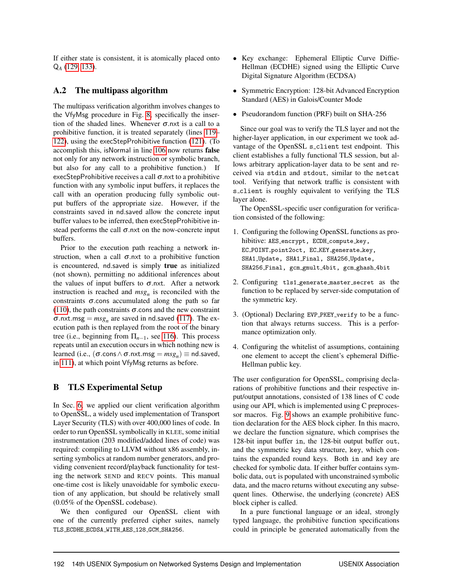If either state is consistent, it is atomically placed onto Q*<sup>A</sup>* (129, 133).

## A.2 The multipass algorithm

The multipass verification algorithm involves changes to the VfyMsg procedure in Fig. 8, specifically the insertion of the shaded lines. Whenever  $\sigma$  nxt is a call to a prohibitive function, it is treated separately (lines 119– 122), using the execStepProhibitive function (121). (To accomplish this, isNormal in line 106 now returns false not only for any network instruction or symbolic branch, but also for any call to a prohibitive function.) If execStepProhibitive receives a call  $\sigma$ .nxt to a prohibitive function with any symbolic input buffers, it replaces the call with an operation producing fully symbolic output buffers of the appropriate size. However, if the constraints saved in nd.saved allow the concrete input buffer values to be inferred, then execStepProhibitive instead performs the call  $\sigma$ .nxt on the now-concrete input buffers.

Prior to the execution path reaching a network instruction, when a call  $\sigma$ .nxt to a prohibitive function is encountered, nd.saved is simply true as initialized (not shown), permitting no additional inferences about the values of input buffers to  $\sigma$ .nxt. After a network instruction is reached and  $msg_n$  is reconciled with the constraints  $\sigma$  cons accumulated along the path so far (110), the path constraints  $\sigma$  cons and the new constraint  $\sigma$ .nxt.msg =  $msg_n$  are saved in nd.saved (117). The execution path is then replayed from the root of the binary tree (i.e., beginning from  $\Pi_{n-1}$ , see 116). This process repeats until an execution occurs in which nothing new is learned (i.e.,  $(\sigma \text{.cons} \land \sigma \text{.nxt.msg} = m s g_n) \equiv \text{nd.saved}$ , in 111), at which point VfyMsg returns as before.

# B TLS Experimental Setup

In Sec. 6, we applied our client verification algorithm to OpenSSL, a widely used implementation of Transport Layer Security (TLS) with over 400,000 lines of code. In order to run OpenSSL symbolically in KLEE, some initial instrumentation (203 modified/added lines of code) was required: compiling to LLVM without x86 assembly, inserting symbolics at random number generators, and providing convenient record/playback functionality for testing the network SEND and RECV points. This manual one-time cost is likely unavoidable for symbolic execution of any application, but should be relatively small (0.05% of the OpenSSL codebase).

We then configured our OpenSSL client with one of the currently preferred cipher suites, namely TLS\_ECDHE\_ECDSA\_WITH\_AES\_128\_GCM\_SHA256.

- Key exchange: Ephemeral Elliptic Curve Diffie-Hellman (ECDHE) signed using the Elliptic Curve Digital Signature Algorithm (ECDSA)
- Symmetric Encryption: 128-bit Advanced Encryption Standard (AES) in Galois/Counter Mode
- Pseudorandom function (PRF) built on SHA-256

Since our goal was to verify the TLS layer and not the higher-layer application, in our experiment we took advantage of the OpenSSL s\_client test endpoint. This client establishes a fully functional TLS session, but allows arbitrary application-layer data to be sent and received via stdin and stdout, similar to the netcat tool. Verifying that network traffic is consistent with s client is roughly equivalent to verifying the TLS layer alone.

The OpenSSL-specific user configuration for verification consisted of the following:

- 1. Configuring the following OpenSSL functions as prohibitive: AES encrypt, ECDH compute key, EC POINT point2oct, EC KEY generate key, SHA1 Update, SHA1 Final, SHA256 Update, SHA256 Final, gcm gmult 4bit, gcm ghash 4bit
- 2. Configuring tls1 generate master secret as the function to be replaced by server-side computation of the symmetric key.
- 3. (Optional) Declaring EVP PKEY verify to be a function that always returns success. This is a performance optimization only.
- 4. Configuring the whitelist of assumptions, containing one element to accept the client's ephemeral Diffie-Hellman public key.

The user configuration for OpenSSL, comprising declarations of prohibitive functions and their respective input/output annotations, consisted of 138 lines of C code using our API, which is implemented using C preprocessor macros. Fig. 9 shows an example prohibitive function declaration for the AES block cipher. In this macro, we declare the function signature, which comprises the 128-bit input buffer in, the 128-bit output buffer out, and the symmetric key data structure, key, which contains the expanded round keys. Both in and key are checked for symbolic data. If either buffer contains symbolic data, out is populated with unconstrained symbolic data, and the macro returns without executing any subsequent lines. Otherwise, the underlying (concrete) AES block cipher is called.

In a pure functional language or an ideal, strongly typed language, the prohibitive function specifications could in principle be generated automatically from the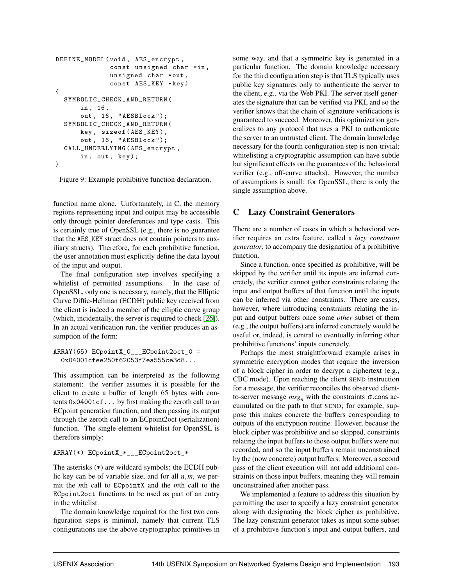```
DEFINE_MODEL ( void , AES_encrypt ,
              const unsigned char *in,
              unsigned char * out,
               const AES_KEY * key )
{
  SYMBOLIC_CHECK_AND_RETURN (
       in , 16 ,
       out , 16 , " AESBlock ");
  SYMBOLIC_CHECK_AND_RETURN (
       key , sizeof ( AES_KEY ) ,
       out , 16 , " AESBlock ");
  CALL_UNDERLYING ( AES_encrypt ,
       in, out, key);
}
```
Figure 9: Example prohibitive function declaration.

function name alone. Unfortunately, in C, the memory regions representing input and output may be accessible only through pointer dereferences and type casts. This is certainly true of OpenSSL (e.g., there is no guarantee that the AES KEY struct does not contain pointers to auxiliary structs). Therefore, for each prohibitive function, the user annotation must explicitly define the data layout of the input and output.

The final configuration step involves specifying a whitelist of permitted assumptions. In the case of OpenSSL, only one is necessary, namely, that the Elliptic Curve Diffie-Hellman (ECDH) public key received from the client is indeed a member of the elliptic curve group (which, incidentally, the server is required to check [26]). In an actual verification run, the verifier produces an assumption of the form:

```
ARRAY(65) ECpointX_0___ECpoint2oct_0 =
  0x04001cfee250f62053f7ea555ce3d8...
```
This assumption can be interpreted as the following statement: the verifier assumes it is possible for the client to create a buffer of length 65 bytes with contents 0x04001cf... by first making the zeroth call to an ECpoint generation function, and then passing its output through the zeroth call to an ECpoint2oct (serialization) function. The single-element whitelist for OpenSSL is therefore simply:

```
ARRAY(*) ECpointX_*___ECpoint2oct_*
```
The asterisks (\*) are wildcard symbols; the ECDH public key can be of variable size, and for all *n*,*m*, we permit the *n*th call to ECpointX and the *m*th call to the ECpoint2oct functions to be used as part of an entry in the whitelist.

The domain knowledge required for the first two configuration steps is minimal, namely that current TLS configurations use the above cryptographic primitives in some way, and that a symmetric key is generated in a particular function. The domain knowledge necessary for the third configuration step is that TLS typically uses public key signatures only to authenticate the server to the client, e.g., via the Web PKI. The server itself generates the signature that can be verified via PKI, and so the verifier knows that the chain of signature verifications is guaranteed to succeed. Moreover, this optimization generalizes to any protocol that uses a PKI to authenticate the server to an untrusted client. The domain knowledge necessary for the fourth configuration step is non-trivial; whitelisting a cryptographic assumption can have subtle but significant effects on the guarantees of the behavioral verifier (e.g., off-curve attacks). However, the number of assumptions is small: for OpenSSL, there is only the single assumption above.

# C Lazy Constraint Generators

There are a number of cases in which a behavioral verifier requires an extra feature, called a *lazy constraint generator*, to accompany the designation of a prohibitive function.

Since a function, once specified as prohibitive, will be skipped by the verifier until its inputs are inferred concretely, the verifier cannot gather constraints relating the input and output buffers of that function until the inputs can be inferred via other constraints. There are cases, however, where introducing constraints relating the input and output buffers once some *other* subset of them (e.g., the output buffers) are inferred concretely would be useful or, indeed, is central to eventually inferring other prohibitive functions' inputs concretely.

Perhaps the most straightforward example arises in symmetric encryption modes that require the inversion of a block cipher in order to decrypt a ciphertext (e.g., CBC mode). Upon reaching the client SEND instruction for a message, the verifier reconciles the observed clientto-server message  $msg_n$  with the constraints  $\sigma$  cons accumulated on the path to that SEND; for example, suppose this makes concrete the buffers corresponding to outputs of the encryption routine. However, because the block cipher was prohibitive and so skipped, constraints relating the input buffers to those output buffers were not recorded, and so the input buffers remain unconstrained by the (now concrete) output buffers. Moreover, a second pass of the client execution will not add additional constraints on those input buffers, meaning they will remain unconstrained after another pass.

We implemented a feature to address this situation by permitting the user to specify a lazy constraint generator along with designating the block cipher as prohibitive. The lazy constraint generator takes as input some subset of a prohibitive function's input and output buffers, and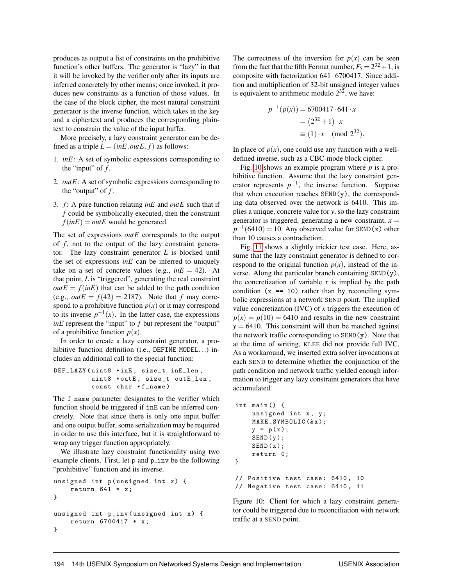produces as output a list of constraints on the prohibitive function's other buffers. The generator is "lazy" in that it will be invoked by the verifier only after its inputs are inferred concretely by other means; once invoked, it produces new constraints as a function of those values. In the case of the block cipher, the most natural constraint generator is the inverse function, which takes in the key and a ciphertext and produces the corresponding plaintext to constrain the value of the input buffer.

More precisely, a lazy constraint generator can be defined as a triple  $L = (inE, outE, f)$  as follows:

- 1. *inE*: A set of symbolic expressions corresponding to the "input" of *f* .
- 2. *outE*: A set of symbolic expressions corresponding to the "output" of *f* .
- 3. *f* : A pure function relating *inE* and *outE* such that if *f* could be symbolically executed, then the constraint  $f(inE) = outE$  would be generated.

The set of expressions *outE* corresponds to the output of *f* , not to the output of the lazy constraint generator. The lazy constraint generator *L* is blocked until the set of expressions *inE* can be inferred to uniquely take on a set of concrete values (e.g.,  $inE = 42$ ). At that point, *L* is "triggered", generating the real constraint  $outE = f(inE)$  that can be added to the path condition (e.g.,  $outE = f(42) = 2187$ ). Note that *f* may correspond to a prohibitive function  $p(x)$  or it may correspond to its inverse  $p^{-1}(x)$ . In the latter case, the expressions *inE* represent the "input" to *f* but represent the "output" of a prohibitive function  $p(x)$ .

In order to create a lazy constraint generator, a prohibitive function definition (i.e., DEFINE\_MODEL...) includes an additional call to the special function:

```
DEF_LAZY (uint8 *inE, size_t inE_len,
         uint8 *outE, size_t outE_len,
         const char *f_name)
```
The f name parameter designates to the verifier which function should be triggered if inE can be inferred concretely. Note that since there is only one input buffer and one output buffer, some serialization may be required in order to use this interface, but it is straightforward to wrap any trigger function appropriately.

We illustrate lazy constraint functionality using two example clients. First, let p and p\_inv be the following "prohibitive" function and its inverse.

```
unsigned int p (unsigned int x) {
    return 641 * x;
}
unsigned int p_inv ( unsigned int x ) {
    return 6700417 * x ;
}
```
The correctness of the inversion for  $p(x)$  can be seen from the fact that the fifth Fermat number,  $F_5 = 2^{32} + 1$ , is composite with factorization 641 · 6700417. Since addition and multiplication of 32-bit unsigned integer values is equivalent to arithmetic modulo  $2^{32}$ , we have:

$$
p^{-1}(p(x)) = 6700417 \cdot 641 \cdot x
$$
  
=  $(2^{32} + 1) \cdot x$   
\equiv  $(1) \cdot x \pmod{2^{32}}$ .

In place of  $p(x)$ , one could use any function with a welldefined inverse, such as a CBC-mode block cipher.

Fig. 10 shows an example program where *p* is a prohibitive function. Assume that the lazy constraint generator represents  $p^{-1}$ , the inverse function. Suppose that when execution reaches SEND(y), the corresponding data observed over the network is 6410. This implies a unique, concrete value for *y*, so the lazy constraint generator is triggered, generating a new constraint,  $x =$  $p^{-1}(6410) = 10$ . Any observed value for SEND(x) other than 10 causes a contradiction.

Fig. 11 shows a slightly trickier test case. Here, assume that the lazy constraint generator is defined to correspond to the original function  $p(x)$ , instead of the inverse. Along the particular branch containing SEND(y), the concretization of variable  $x$  is implied by the path condition  $(x == 10)$  rather than by reconciling symbolic expressions at a network SEND point. The implied value concretization (IVC) of *x* triggers the execution of  $p(x) = p(10) = 6410$  and results in the new constraint  $y = 6410$ . This constraint will then be matched against the network traffic corresponding to  $SEMD(y)$ . Note that at the time of writing, KLEE did not provide full IVC. As a workaround, we inserted extra solver invocations at each SEND to determine whether the conjunction of the path condition and network traffic yielded enough information to trigger any lazy constraint generators that have accumulated.

```
int main () {
    unsigned int x, y;
    MAKE_SYMBOLIC(&x);
    y = p(x);SEND (y);
    SEND(x);return 0;
}
// Positive test case: 6410, 10
// Negative test case: 6410, 11
```
Figure 10: Client for which a lazy constraint generator could be triggered due to reconciliation with network traffic at a SEND point.